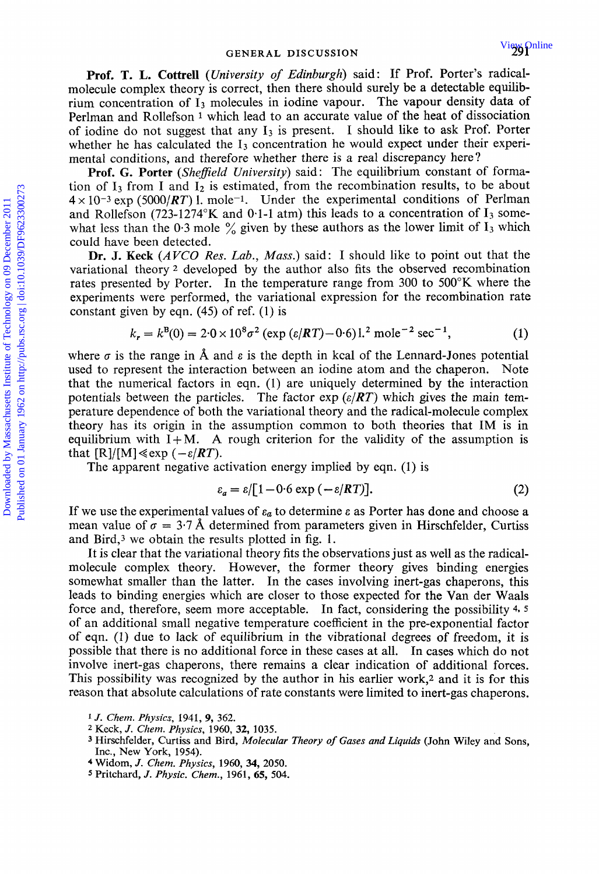**Prof. T. L. Cottrell** *(University of Edinburgh)* said: If Prof. Porter's radicalmolecule complex theory is correct, then there should surely be a detectable equilibrium concentration of  $I_3$  molecules in iodine vapour. The vapour density data of Perlman and Rollefson<sup>1</sup> which lead to an accurate value of the heat of dissociation of iodine do not suggest that any  $I_3$  is present. I should like to ask Prof. Porter whether he has calculated the  $I_3$  concentration he would expect under their experimental conditions, and therefore whether there is a real discrepancy here?

**Prof. G. Porter** *(Shefield University)* said : The equilibrium constant of formation of  $I_3$  from I and  $I_2$  is estimated, from the recombination results, to be about  $4 \times 10^{-3}$  exp (5000/*RT*) l. mole<sup>-1</sup>. Under the experimental conditions of Perlman and Rollefson (723-1274°K and 0.1-1 atm) this leads to a concentration of  $I_3$  somewhat less than the 0.3 mole  $\frac{6}{9}$  given by these authors as the lower limit of I<sub>3</sub> which could have been detected.

**Dr. J. Keck** *(AVCO Res. Lab., Mass.)* said: I should like to point out that the variational theory *2* developed by the author also fits the observed recombination rates presented by Porter. In the temperature range from 300 to 500°K where the experiments were performed, the variational expression for the recombination rate constant given by eqn. (45) of ref. (1) is

$$
k_r = k^B(0) = 2.0 \times 10^8 \sigma^2 \left( \exp\left(\frac{\varepsilon}{RT}\right) - 0.6\right) \cdot 1.2 \text{ mole}^{-2} \text{ sec}^{-1},\tag{1}
$$

where  $\sigma$  is the range in  $\hat{A}$  and  $\varepsilon$  is the depth in kcal of the Lennard-Jones potential used to represent the interaction between an iodine atom and the chaperon. Note that the numerical factors in eqn. (1) are uniquely determined by the interaction potentials between the particles. The factor  $\exp(e/RT)$  which gives the main temperature dependence of both the variational theory and the radical-molecule complex theory has its origin in the assumption common to both theories that IM is in equilibrium with  $I+M$ . A rough criterion for the validity of the assumption is that  $[R]/[M] \ll exp(-\varepsilon/RT)$ . **Prof. T. L. Cottrell** (*University of Edinburgh*) said: If Prof. Porter's rateal-<br>molecule complex theory is correct, then there should surely be a detectable equilibrium concentration of 1 pnolecules in iodine vapour. T

The apparent negative activation energy implied by eqn. (1) is

$$
\varepsilon_a = \varepsilon / [1 - 0.6 \exp(-\varepsilon / RT)]. \tag{2}
$$

If we use the experimental values of  $\varepsilon_a$  to determine  $\varepsilon$  as Porter has done and choose a mean value of  $\sigma = 3.7$  Å determined from parameters given in Hirschfelder, Curtiss and Bird,3 we obtain the results plotted in fig. **1.** 

It is clear that the variational theory fits the observations just as well as the radicalmolecule complex theory. However, the former theory gives binding energies somewhat smaller than the latter. In the cases involving inert-gas chaperons, this leads to binding energies which are closer to those expected for the Van der Waals force and, therefore, seem more acceptable. In fact, considering the possibility *4- 5*  of an additional small negative temperature coefficient in the pre-exponential factor of eqn. (1) due to lack of equilibrium in the vibrational degrees of freedom, it is possible that there is no additional force in these cases at all. In cases which do not involve inert-gas chaperons, there remains a clear indication of additional forces. This possibility was recognized by the author in his earlier work,2 and it is for this reason that absolute calculations of rate constants were limited to inert-gas chaperons.

**<sup>1</sup>***J. Chem. Physics,* **1941,** 9, *362.* 

**<sup>2</sup>**Keck, J. *Chem. Physics,* **1960,32,** 1035.

**<sup>3</sup>** Hirschfelder, Curtiss and Bird, *Molecular Theory of Gases and Liquids* (John **Wiley** and Sons, Inc., New York, 1954).

**<sup>4</sup>**Widom, J. *Chem. Physics,* 1960, *34, 2050.* 

*<sup>5</sup>*Pritchard, J. *Physic.* Chem., 1961, *65,* **504.**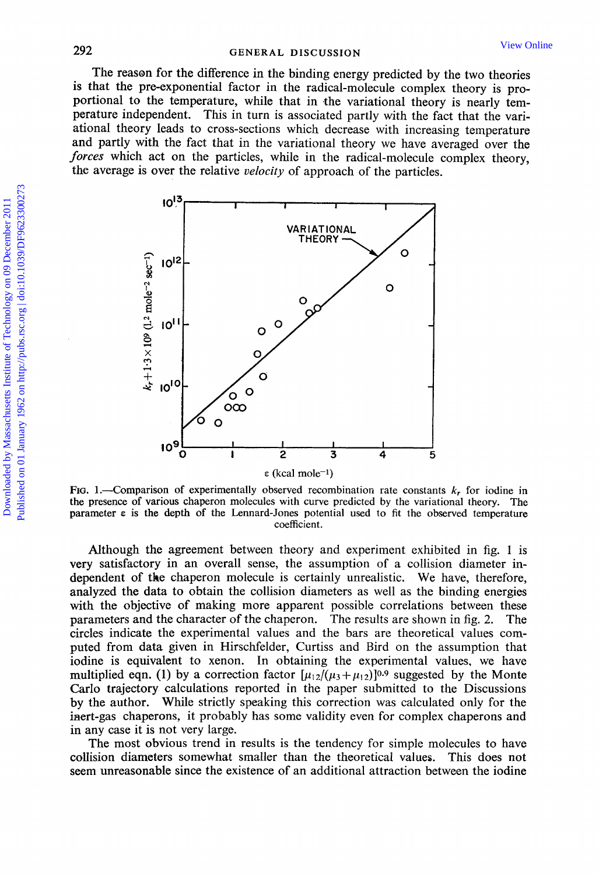The reason for the difference in the binding energy predicted by the two theories **is** that the pre-exponential factor in the radical-molecule complex theory is proportional to the temperature, while that in the variational theory is nearly temperature independent. This in turn is associated partly with the fact that the variational theory leads to cross-sections which decrease with increasing temperature and partly with the fact that in the variational theory we have averaged over the *forces* which act on the particles, while in the radical-molecule complex theory, the average is over the relative *velocity* of approach of the particles.



FIG. 1.—Comparison of experimentally observed recombination rate constants  $k_r$  for iodine in the presence **of** various chaperon molecules with curve predicted by the variational theory. The parameter  $\varepsilon$  is the depth of the Lennard-Jones potential used to fit the observed temperature coefficient.

Although the agreement between theory and experiment exhibited in fig. **1** is very satisfactory in an overall sense, the assumption of a collision diameter independent of the chaperon molecule is certainly unrealistic. We have, therefore, analyzed the data to obtain the collision diameters as well as the binding energies with the objective of making more apparent possible correlations between these parameters and the character of the chaperon. The results are shown in fig. 2. circles indicate the experimental values and the bars are theoretical values computed from data given in Hirschfelder, Curtiss and Bird on the assumption that iodine is equivalent to xenon. In obtaining the experimental values, we have multiplied eqn. (1) by a correction factor  $[\mu_{12}/(\mu_3 + \mu_{12})]^{0.9}$  suggested by the Monte Carlo trajectory calculations reported in the paper submitted to the Discussions by the author. While strictly speaking this correction was calculated only for the inert-gas chaperons, it probably has some validity even for complex chaperons and in any case it is not very large.

The most obvious trend in results is the tendency for simple molecules to have collision diameters somewhat smaller than the theoretical values. This does not seem unreasonable since the existence of an additional attraction between the iodine